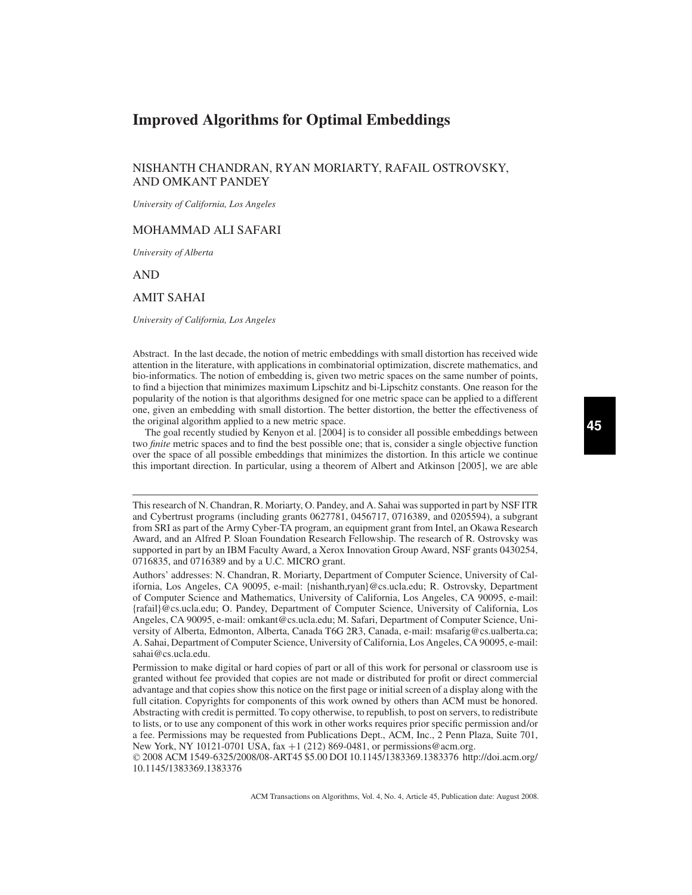# **Improved Algorithms for Optimal Embeddings**

## NISHANTH CHANDRAN, RYAN MORIARTY, RAFAIL OSTROVSKY, AND OMKANT PANDEY

*University of California, Los Angeles*

## MOHAMMAD ALI SAFARI

*University of Alberta*

AND

## AMIT SAHAI

*University of California, Los Angeles*

Abstract. In the last decade, the notion of metric embeddings with small distortion has received wide attention in the literature, with applications in combinatorial optimization, discrete mathematics, and bio-informatics. The notion of embedding is, given two metric spaces on the same number of points, to find a bijection that minimizes maximum Lipschitz and bi-Lipschitz constants. One reason for the popularity of the notion is that algorithms designed for one metric space can be applied to a different one, given an embedding with small distortion. The better distortion, the better the effectiveness of the original algorithm applied to a new metric space.

The goal recently studied by Kenyon et al. [2004] is to consider all possible embeddings between two *finite* metric spaces and to find the best possible one; that is, consider a single objective function over the space of all possible embeddings that minimizes the distortion. In this article we continue this important direction. In particular, using a theorem of Albert and Atkinson [2005], we are able

This research of N. Chandran, R. Moriarty, O. Pandey, and A. Sahai was supported in part by NSF ITR and Cybertrust programs (including grants 0627781, 0456717, 0716389, and 0205594), a subgrant from SRI as part of the Army Cyber-TA program, an equipment grant from Intel, an Okawa Research Award, and an Alfred P. Sloan Foundation Research Fellowship. The research of R. Ostrovsky was supported in part by an IBM Faculty Award, a Xerox Innovation Group Award, NSF grants 0430254, 0716835, and 0716389 and by a U.C. MICRO grant.

Authors' addresses: N. Chandran, R. Moriarty, Department of Computer Science, University of California, Los Angeles, CA 90095, e-mail: {nishanth,ryan}@cs.ucla.edu; R. Ostrovsky, Department of Computer Science and Mathematics, University of California, Los Angeles, CA 90095, e-mail: {rafail}@cs.ucla.edu; O. Pandey, Department of Computer Science, University of California, Los Angeles, CA 90095, e-mail: omkant@cs.ucla.edu; M. Safari, Department of Computer Science, University of Alberta, Edmonton, Alberta, Canada T6G 2R3, Canada, e-mail: msafarig@cs.ualberta.ca; A. Sahai, Department of Computer Science, University of California, Los Angeles, CA 90095, e-mail: sahai@cs.ucla.edu.

Permission to make digital or hard copies of part or all of this work for personal or classroom use is granted without fee provided that copies are not made or distributed for profit or direct commercial advantage and that copies show this notice on the first page or initial screen of a display along with the full citation. Copyrights for components of this work owned by others than ACM must be honored. Abstracting with credit is permitted. To copy otherwise, to republish, to post on servers, to redistribute to lists, or to use any component of this work in other works requires prior specific permission and/or a fee. Permissions may be requested from Publications Dept., ACM, Inc., 2 Penn Plaza, Suite 701, New York, NY 10121-0701 USA, fax +1 (212) 869-0481, or permissions@acm.org.

© 2008 ACM 1549-6325/2008/08-ART45 \$5.00 DOI 10.1145/1383369.1383376 http://doi.acm.org/ 10.1145/1383369.1383376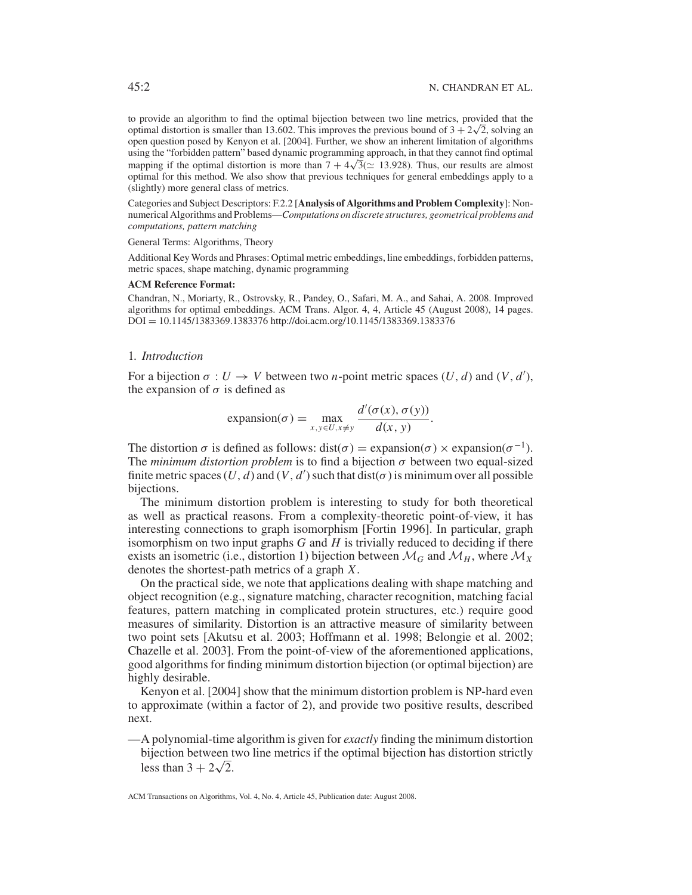to provide an algorithm to find the optimal bijection between two line metrics, provided that the to provide an algorithm to find the optimal bijection between two line metrics, provided that the optimal distortion is smaller than 13.602. This improves the previous bound of  $3 + 2\sqrt{2}$ , solving an open question posed by Kenyon et al. [2004]. Further, we show an inherent limitation of algorithms using the "forbidden pattern" based dynamic programming approach, in that they cannot find optimal using the torbidden pattern based dynamic programming approach, in that they cannot thin optimal distortion is more than  $7 + 4\sqrt{3}$  ( $\simeq$  13.928). Thus, our results are almost optimal for this method. We also show that previous techniques for general embeddings apply to a (slightly) more general class of metrics.

Categories and Subject Descriptors: F.2.2 [**Analysis of Algorithms and Problem Complexity**]: Nonnumerical Algorithms and Problems—*Computations on discrete structures, geometrical problems and computations, pattern matching*

General Terms: Algorithms, Theory

Additional Key Words and Phrases: Optimal metric embeddings, line embeddings, forbidden patterns, metric spaces, shape matching, dynamic programming

#### **ACM Reference Format:**

Chandran, N., Moriarty, R., Ostrovsky, R., Pandey, O., Safari, M. A., and Sahai, A. 2008. Improved algorithms for optimal embeddings. ACM Trans. Algor. 4, 4, Article 45 (August 2008), 14 pages. DOI = 10.1145/1383369.1383376 http://doi.acm.org/10.1145/1383369.1383376

### 1*. Introduction*

For a bijection  $\sigma: U \to V$  between two *n*-point metric spaces  $(U, d)$  and  $(V, d')$ , the expansion of  $\sigma$  is defined as

expansion(
$$
\sigma
$$
) = max  $\max_{x,y \in U, x \neq y}$   $\frac{d'(\sigma(x), \sigma(y))}{d(x, y)}$ .

The distortion  $\sigma$  is defined as follows: dist( $\sigma$ ) = expansion( $\sigma$ ) × expansion( $\sigma^{-1}$ ). The *minimum distortion problem* is to find a bijection σ between two equal-sized finite metric spaces  $(U, d)$  and  $(V, d')$  such that  $dist(\sigma)$  is minimum over all possible bijections.

The minimum distortion problem is interesting to study for both theoretical as well as practical reasons. From a complexity-theoretic point-of-view, it has interesting connections to graph isomorphism [Fortin 1996]. In particular, graph isomorphism on two input graphs *G* and *H* is trivially reduced to deciding if there exists an isometric (i.e., distortion 1) bijection between  $\mathcal{M}_G$  and  $\mathcal{M}_H$ , where  $\mathcal{M}_X$ denotes the shortest-path metrics of a graph *X*.

On the practical side, we note that applications dealing with shape matching and object recognition (e.g., signature matching, character recognition, matching facial features, pattern matching in complicated protein structures, etc.) require good measures of similarity. Distortion is an attractive measure of similarity between two point sets [Akutsu et al. 2003; Hoffmann et al. 1998; Belongie et al. 2002; Chazelle et al. 2003]. From the point-of-view of the aforementioned applications, good algorithms for finding minimum distortion bijection (or optimal bijection) are highly desirable.

Kenyon et al. [2004] show that the minimum distortion problem is NP-hard even to approximate (within a factor of 2), and provide two positive results, described next.

—A polynomial-time algorithm is given for *exactly* finding the minimum distortion bijection between two line metrics if the optimal bijection has distortion strictly bijection between the less than  $3 + 2\sqrt{2}$ .

ACM Transactions on Algorithms, Vol. 4, No. 4, Article 45, Publication date: August 2008.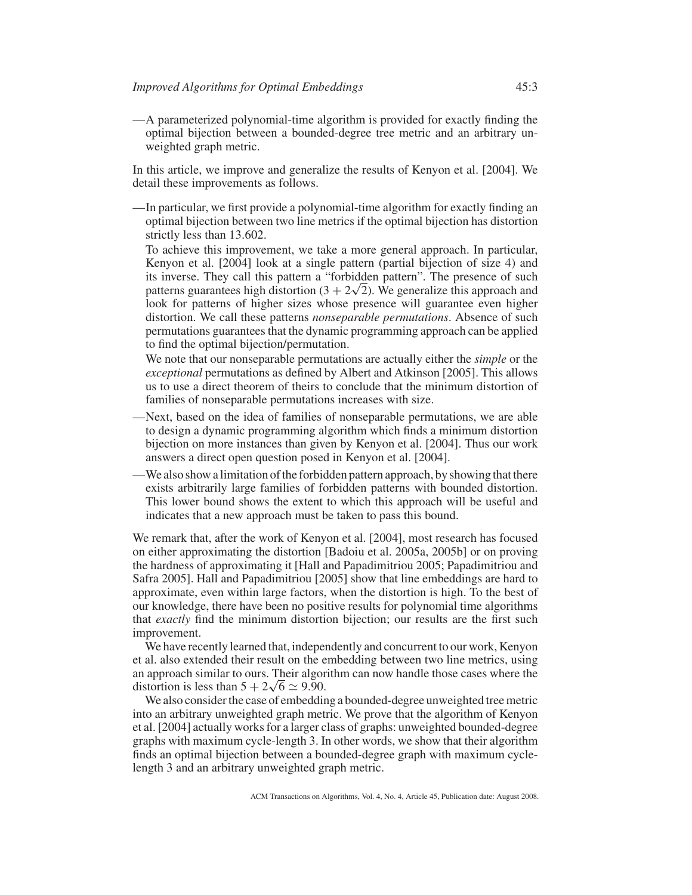—A parameterized polynomial-time algorithm is provided for exactly finding the optimal bijection between a bounded-degree tree metric and an arbitrary unweighted graph metric.

In this article, we improve and generalize the results of Kenyon et al. [2004]. We detail these improvements as follows.

—In particular, we first provide a polynomial-time algorithm for exactly finding an optimal bijection between two line metrics if the optimal bijection has distortion strictly less than 13.602.

To achieve this improvement, we take a more general approach. In particular, Kenyon et al. [2004] look at a single pattern (partial bijection of size 4) and its inverse. They call this pattern a "forbidden pattern". The presence of such its inverse. They call this pattern a "forbidden pattern". The presence of such patterns guarantees high distortion  $(3 + 2\sqrt{2})$ . We generalize this approach and look for patterns of higher sizes whose presence will guarantee even higher distortion. We call these patterns *nonseparable permutations*. Absence of such permutations guarantees that the dynamic programming approach can be applied to find the optimal bijection/permutation.

We note that our nonseparable permutations are actually either the *simple* or the *exceptional* permutations as defined by Albert and Atkinson [2005]. This allows us to use a direct theorem of theirs to conclude that the minimum distortion of families of nonseparable permutations increases with size.

- —Next, based on the idea of families of nonseparable permutations, we are able to design a dynamic programming algorithm which finds a minimum distortion bijection on more instances than given by Kenyon et al. [2004]. Thus our work answers a direct open question posed in Kenyon et al. [2004].
- —We also show a limitation of the forbidden pattern approach, by showing that there exists arbitrarily large families of forbidden patterns with bounded distortion. This lower bound shows the extent to which this approach will be useful and indicates that a new approach must be taken to pass this bound.

We remark that, after the work of Kenyon et al. [2004], most research has focused on either approximating the distortion [Badoiu et al. 2005a, 2005b] or on proving the hardness of approximating it [Hall and Papadimitriou 2005; Papadimitriou and Safra 2005]. Hall and Papadimitriou [2005] show that line embeddings are hard to approximate, even within large factors, when the distortion is high. To the best of our knowledge, there have been no positive results for polynomial time algorithms that *exactly* find the minimum distortion bijection; our results are the first such improvement.

We have recently learned that, independently and concurrent to our work, Kenyon et al. also extended their result on the embedding between two line metrics, using an approach similar to ours. Their algorithm can now handle those cases where the an approach similar to ours. Their algor<br>distortion is less than  $5 + 2\sqrt{6} \simeq 9.90$ .

We also consider the case of embedding a bounded-degree unweighted tree metric into an arbitrary unweighted graph metric. We prove that the algorithm of Kenyon et al. [2004] actually works for a larger class of graphs: unweighted bounded-degree graphs with maximum cycle-length 3. In other words, we show that their algorithm finds an optimal bijection between a bounded-degree graph with maximum cyclelength 3 and an arbitrary unweighted graph metric.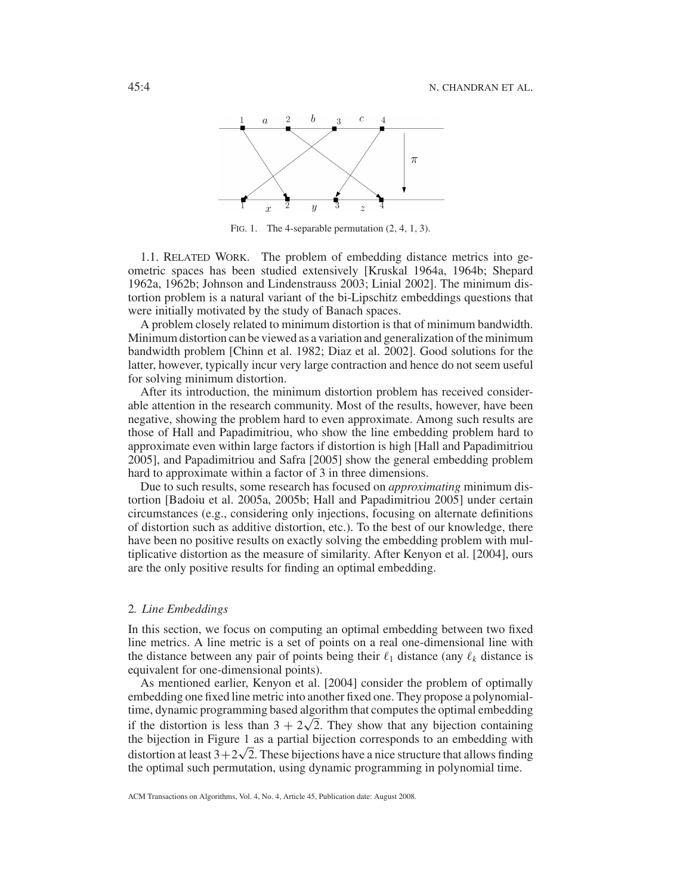

FIG. 1. The 4-separable permutation  $(2, 4, 1, 3)$ .

1.1. RELATED WORK. The problem of embedding distance metrics into geometric spaces has been studied extensively [Kruskal 1964a, 1964b; Shepard 1962a, 1962b; Johnson and Lindenstrauss 2003; Linial 2002]. The minimum distortion problem is a natural variant of the bi-Lipschitz embeddings questions that were initially motivated by the study of Banach spaces.

A problem closely related to minimum distortion is that of minimum bandwidth. Minimum distortion can be viewed as a variation and generalization of the minimum bandwidth problem [Chinn et al. 1982; Diaz et al. 2002]. Good solutions for the latter, however, typically incur very large contraction and hence do not seem useful for solving minimum distortion.

After its introduction, the minimum distortion problem has received considerable attention in the research community. Most of the results, however, have been negative, showing the problem hard to even approximate. Among such results are those of Hall and Papadimitriou, who show the line embedding problem hard to approximate even within large factors if distortion is high [Hall and Papadimitriou 2005], and Papadimitriou and Safra [2005] show the general embedding problem hard to approximate within a factor of 3 in three dimensions.

Due to such results, some research has focused on *approximating* minimum distortion [Badoiu et al. 2005a, 2005b; Hall and Papadimitriou 2005] under certain circumstances (e.g., considering only injections, focusing on alternate definitions of distortion such as additive distortion, etc.). To the best of our knowledge, there have been no positive results on exactly solving the embedding problem with multiplicative distortion as the measure of similarity. After Kenyon et al. [2004], ours are the only positive results for finding an optimal embedding.

### 2*. Line Embeddings*

In this section, we focus on computing an optimal embedding between two fixed line metrics. A line metric is a set of points on a real one-dimensional line with the distance between any pair of points being their  $\ell_1$  distance (any  $\ell_k$  distance is equivalent for one-dimensional points).

As mentioned earlier, Kenyon et al. [2004] consider the problem of optimally embedding one fixed line metric into another fixed one. They propose a polynomialtime, dynamic programming based algorithm that computes the optimal embedding time, dynamic programming based argorithm that computes the optimal embedding if the distortion is less than  $3 + 2\sqrt{2}$ . They show that any bijection containing the bijection in Figure 1 as a partial bijection corresponds to an embedding with the bijection in Figure 1 as a partial bijection corresponds to an embedding with<br>distortion at least  $3+2\sqrt{2}$ . These bijections have a nice structure that allows finding the optimal such permutation, using dynamic programming in polynomial time.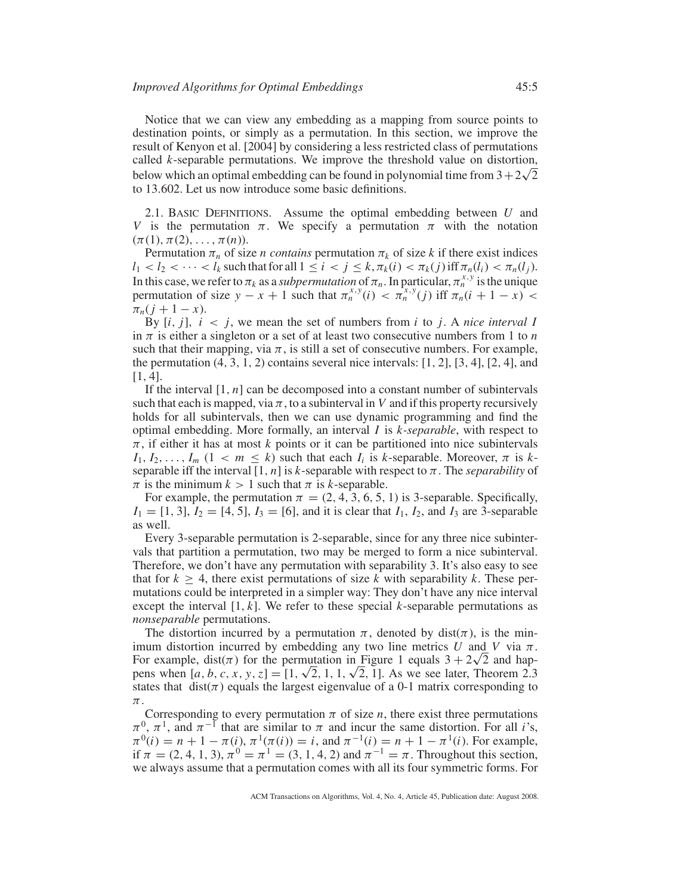Notice that we can view any embedding as a mapping from source points to destination points, or simply as a permutation. In this section, we improve the result of Kenyon et al. [2004] by considering a less restricted class of permutations called *k*-separable permutations. We improve the threshold value on distortion, called *k*-separable permulations. We improve the infession value on distortion, below which an optimal embedding can be found in polynomial time from  $3+2\sqrt{2}$ to 13.602. Let us now introduce some basic definitions.

2.1. BASIC DEFINITIONS. Assume the optimal embedding between *U* and *V* is the permutation  $\pi$ . We specify a permutation  $\pi$  with the notation  $(\pi(1), \pi(2), \ldots, \pi(n)).$ 

Permutation  $\pi_n$  of size *n contains* permutation  $\pi_k$  of size *k* if there exist indices  $l_1 < l_2 < \cdots < l_k$  such that for all  $1 \le i < j \le k$ ,  $\pi_k(i) < \pi_k(j)$  iff  $\pi_n(l_i) < \pi_n(l_j)$ . In this case, we refer to  $\pi_k$  as a *subpermutation* of  $\pi_n$ . In particular,  $\pi_n^{x,y}$  is the unique permutation of size  $y - x + 1$  such that  $\pi_n^{x,y}(i) < \pi_n^{x,y}(i)$  iff  $\pi_n(i+1-x)$  $\pi_n(j+1-x)$ .

By  $[i, j]$ ,  $i < j$ , we mean the set of numbers from  $i$  to  $j$ . A *nice interval I* in  $\pi$  is either a singleton or a set of at least two consecutive numbers from 1 to *n* such that their mapping, via  $\pi$ , is still a set of consecutive numbers. For example, the permutation  $(4, 3, 1, 2)$  contains several nice intervals:  $[1, 2]$ ,  $[3, 4]$ ,  $[2, 4]$ , and  $[1, 4]$ .

If the interval [1, *n*] can be decomposed into a constant number of subintervals such that each is mapped, via  $\pi$ , to a subinterval in *V* and if this property recursively holds for all subintervals, then we can use dynamic programming and find the optimal embedding. More formally, an interval *I* is *k-separable*, with respect to  $\pi$ , if either it has at most *k* points or it can be partitioned into nice subintervals  $I_1, I_2, \ldots, I_m$   $(1 \leq m \leq k)$  such that each  $I_i$  is *k*-separable. Moreover,  $\pi$  is *k*separable iff the interval  $[1, n]$  is *k*-separable with respect to  $\pi$ . The *separability* of  $\pi$  is the minimum  $k > 1$  such that  $\pi$  is *k*-separable.

For example, the permutation  $\pi = (2, 4, 3, 6, 5, 1)$  is 3-separable. Specifically,  $I_1 = [1, 3], I_2 = [4, 5], I_3 = [6]$ , and it is clear that  $I_1, I_2$ , and  $I_3$  are 3-separable as well.

Every 3-separable permutation is 2-separable, since for any three nice subintervals that partition a permutation, two may be merged to form a nice subinterval. Therefore, we don't have any permutation with separability 3. It's also easy to see that for  $k \geq 4$ , there exist permutations of size k with separability k. These permutations could be interpreted in a simpler way: They don't have any nice interval except the interval [1, *k*]. We refer to these special *k*-separable permutations as *nonseparable* permutations.

The distortion incurred by a permutation  $\pi$ , denoted by dist( $\pi$ ), is the minimum distortion incurred by embedding any two line metrics  $U$  and  $V$  via  $\pi$ . imum distortion incurred by embedding any two line metrics U and V via  $\pi$ .<br>For example, dist( $\pi$ ) for the permutation in Figure 1 equals  $3 + 2\sqrt{2}$  and hap-For example, dist( $\pi$ ) for the permutation in Figure 1 equals  $3 + 2\sqrt{2}$  and happens when [a, b, c, x, y, z] = [1,  $\sqrt{2}$ , 1, 1,  $\sqrt{2}$ , 1]. As we see later, Theorem 2.3 states that dist( $\pi$ ) equals the largest eigenvalue of a 0-1 matrix corresponding to  $\pi$  .

Corresponding to every permutation  $\pi$  of size  $n$ , there exist three permutations  $\pi^0$ ,  $\pi^1$ , and  $\pi^{-1}$  that are similar to  $\pi$  and incur the same distortion. For all *i*'s,  $\pi^{0}(i) = n + 1 - \pi(i), \pi^{1}(\pi(i)) = i$ , and  $\pi^{-1}(i) = n + 1 - \pi^{1}(i)$ . For example, if  $\pi = (2, 4, 1, 3), \pi^0 = \pi^1 = (3, 1, 4, 2)$  and  $\pi^{-1} = \pi$ . Throughout this section, we always assume that a permutation comes with all its four symmetric forms. For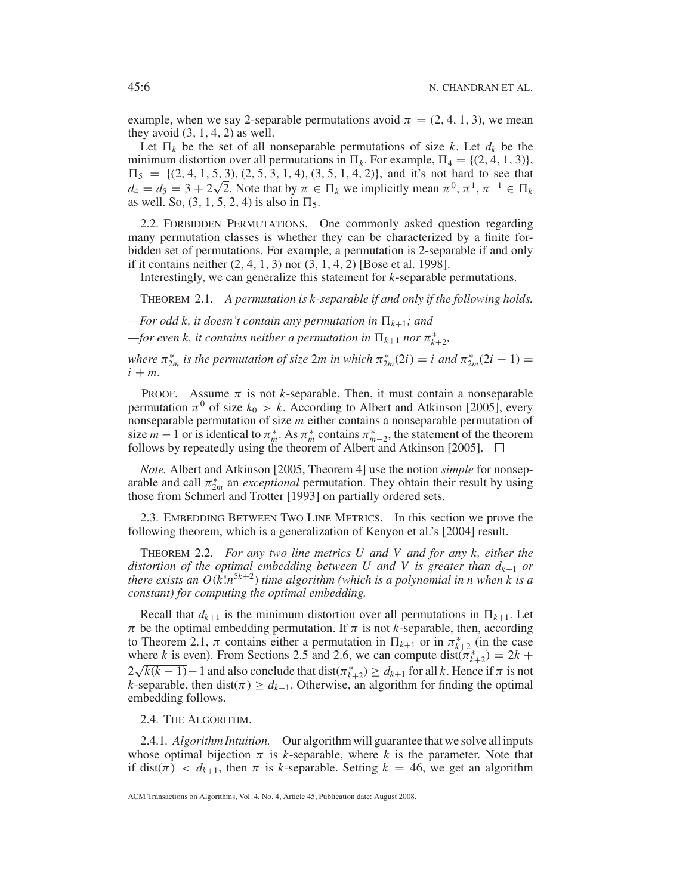example, when we say 2-separable permutations avoid  $\pi = (2, 4, 1, 3)$ , we mean they avoid  $(3, 1, 4, 2)$  as well.

Let  $\Pi_k$  be the set of all nonseparable permutations of size *k*. Let  $d_k$  be the minimum distortion over all permutations in  $\Pi_k$ . For example,  $\Pi_4 = \{(2, 4, 1, 3)\},\$  $\Pi_5 = \{(2, 4, 1, 5, 3), (2, 5, 3, 1, 4), (3, 5, 1, 4, 2)\}\$ , and it's not hard to see that  $d_4 = d_5 = 3 + 2\sqrt{2}$ . Note that by  $\pi \in \Pi_k$  we implicitly mean  $\pi^0, \pi^1, \pi^{-1} \in \Pi_k$ as well. So,  $(3, 1, 5, 2, 4)$  is also in  $\Pi_5$ .

2.2. FORBIDDEN PERMUTATIONS. One commonly asked question regarding many permutation classes is whether they can be characterized by a finite forbidden set of permutations. For example, a permutation is 2-separable if and only if it contains neither (2, 4, 1, 3) nor (3, 1, 4, 2) [Bose et al. 1998].

Interestingly, we can generalize this statement for *k*-separable permutations.

THEOREM 2.1. *A permutation is k-separable if and only if the following holds.*

 $-For$  *odd k, it doesn't contain any permutation in*  $\Pi_{k+1}$ *; and* 

 $f$ *or even k, it contains neither a permutation in*  $\prod_{k+1}$  *nor*  $\pi_{k+2}^*$ *,* 

*where*  $\pi_{2m}^*$  *is the permutation of size*  $2m$  *in which*  $\pi_{2m}^*(2i) = i$  *and*  $\pi_{2m}^*(2i - 1) =$  $i + m$ .

**PROOF.** Assume  $\pi$  is not *k*-separable. Then, it must contain a nonseparable permutation  $\pi^0$  of size  $k_0 > k$ . According to Albert and Atkinson [2005], every nonseparable permutation of size *m* either contains a nonseparable permutation of size  $m-1$  or is identical to  $\pi_m^*$ . As  $\pi_m^*$  contains  $\pi_{m-2}^*$ , the statement of the theorem follows by repeatedly using the theorem of Albert and Atkinson [2005].  $\Box$ 

*Note.* Albert and Atkinson [2005, Theorem 4] use the notion *simple* for nonseparable and call  $\pi_{2m}^*$  an *exceptional* permutation. They obtain their result by using those from Schmerl and Trotter [1993] on partially ordered sets.

2.3. EMBEDDING BETWEEN TWO LINE METRICS. In this section we prove the following theorem, which is a generalization of Kenyon et al.'s [2004] result.

THEOREM 2.2. *For any two line metrics U and V and for any k, either the distortion of the optimal embedding between U and V is greater than dk*<sup>+</sup><sup>1</sup> *or there exists an O*(*k*!*n*<sup>5</sup>*k*<sup>+</sup>2) *time algorithm (which is a polynomial in n when k is a constant) for computing the optimal embedding.*

Recall that  $d_{k+1}$  is the minimum distortion over all permutations in  $\Pi_{k+1}$ . Let  $\pi$  be the optimal embedding permutation. If  $\pi$  is not *k*-separable, then, according to Theorem 2.1,  $\pi$  contains either a permutation in  $\Pi_{k+1}$  or in  $\pi^*_{k+2}$  (in the case where *k* is even). From Sections 2.5 and 2.6, we can compute  $dist(\pi_{k+2}^*) = 2k +$ where *k* is even). From sections 2.5 and 2.0, we can compute  $\text{dist}(n_{k+2}) = 2k + 2\sqrt{k(k-1)} - 1$  and also conclude that  $\text{dist}(\pi_{k+2}^*) \ge d_{k+1}$  for all *k*. Hence if  $\pi$  is not *k*-separable, then dist( $\pi$ )  $\geq d_{k+1}$ . Otherwise, an algorithm for finding the optimal embedding follows.

2.4. THE ALGORITHM.

2.4.1*. Algorithm Intuition.* Our algorithm will guarantee that we solve all inputs whose optimal bijection  $\pi$  is *k*-separable, where *k* is the parameter. Note that if dist( $\pi$ ) <  $d_{k+1}$ , then  $\pi$  is *k*-separable. Setting  $k = 46$ , we get an algorithm

ACM Transactions on Algorithms, Vol. 4, No. 4, Article 45, Publication date: August 2008.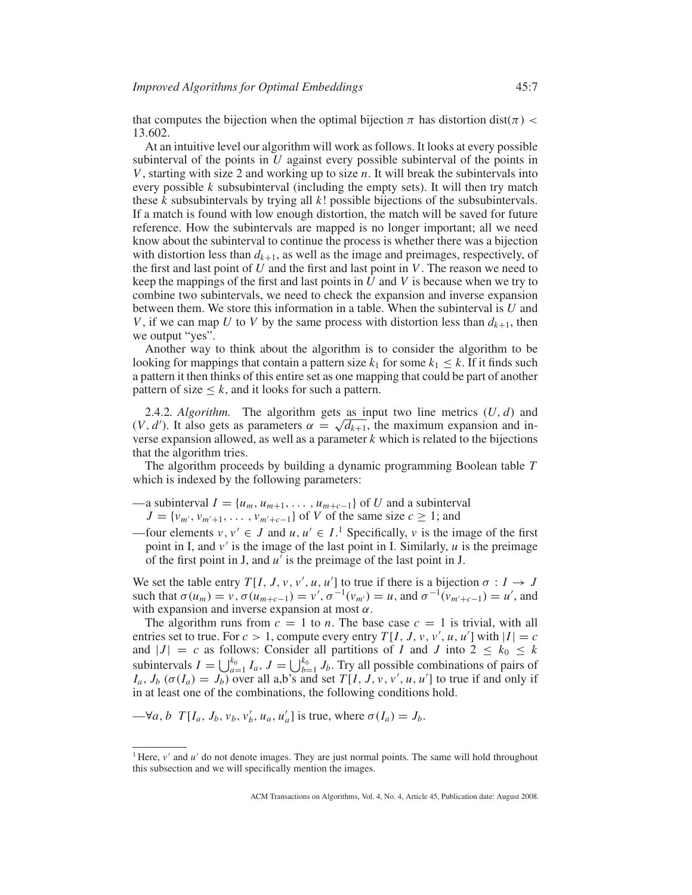that computes the bijection when the optimal bijection  $\pi$  has distortion dist( $\pi$ ) < 13.602.

At an intuitive level our algorithm will work as follows. It looks at every possible subinterval of the points in *U* against every possible subinterval of the points in *V*, starting with size 2 and working up to size *n*. It will break the subintervals into every possible *k* subsubinterval (including the empty sets). It will then try match these *k* subsubintervals by trying all *k*! possible bijections of the subsubintervals. If a match is found with low enough distortion, the match will be saved for future reference. How the subintervals are mapped is no longer important; all we need know about the subinterval to continue the process is whether there was a bijection with distortion less than  $d_{k+1}$ , as well as the image and preimages, respectively, of the first and last point of *U* and the first and last point in *V*. The reason we need to keep the mappings of the first and last points in *U* and *V* is because when we try to combine two subintervals, we need to check the expansion and inverse expansion between them. We store this information in a table. When the subinterval is *U* and *V*, if we can map *U* to *V* by the same process with distortion less than  $d_{k+1}$ , then we output "yes".

Another way to think about the algorithm is to consider the algorithm to be looking for mappings that contain a pattern size  $k_1$  for some  $k_1 \leq k$ . If it finds such a pattern it then thinks of this entire set as one mapping that could be part of another pattern of size  $\leq k$ , and it looks for such a pattern.

2.4.2*. Algorithm.* The algorithm gets as input two line metrics (*U*, *d*) and 2.4.2. *Algorithm*. The algorithm gets as input two line metrics  $(U, d)$  and  $(V, d')$ . It also gets as parameters  $\alpha = \sqrt{d_{k+1}}$ , the maximum expansion and inverse expansion allowed, as well as a parameter *k* which is related to the bijections that the algorithm tries.

The algorithm proceeds by building a dynamic programming Boolean table *T* which is indexed by the following parameters:

—a subinterval  $I = \{u_m, u_{m+1}, \ldots, u_{m+c-1}\}$  of *U* and a subinterval  $J = \{v_{m'}, v_{m'+1}, \ldots, v_{m'+c-1}\}\$  of *V* of the same size  $c \geq 1$ ; and

—four elements  $v, v' \in J$  and  $u, u' \in I$ .<sup>1</sup> Specifically,  $v$  is the image of the first point in I, and *v* is the image of the last point in I. Similarly, *u* is the preimage of the first point in J, and *u* is the preimage of the last point in J.

We set the table entry  $T[I, J, v, v', u, u']$  to true if there is a bijection  $\sigma : I \to J$ such that  $\sigma(u_m) = v$ ,  $\sigma(u_{m+c-1}) = v'$ ,  $\sigma^{-1}(v_{m'}) = u$ , and  $\sigma^{-1}(v_{m'+c-1}) = u'$ , and with expansion and inverse expansion at most  $\alpha$ .

The algorithm runs from  $c = 1$  to *n*. The base case  $c = 1$  is trivial, with all entries set to true. For  $c > 1$ , compute every entry  $T[I, J, v, v', u, u']$  with  $|I| = c$ and  $|J| = c$  as follows: Consider all partitions of *I* and *J* into  $2 \leq k_0 \leq k$ subintervals  $I = \bigcup_{a=1}^{k_0} I_a$ ,  $J = \bigcup_{b=1}^{k_0} J_b$ . Try all possible combinations of pairs of  $I_a$ ,  $J_b$  ( $\sigma(I_a) = J_b$ ) over all a,b's and set  $T[I, J, v, v', u, u']$  to true if and only if in at least one of the combinations, the following conditions hold.

 $-\forall a, b \ T[I_a, J_b, v_b, v'_b, u_a, u'_a]$  is true, where  $\sigma(I_a) = J_b$ .

<sup>&</sup>lt;sup>1</sup> Here,  $v'$  and  $u'$  do not denote images. They are just normal points. The same will hold throughout this subsection and we will specifically mention the images.

ACM Transactions on Algorithms, Vol. 4, No. 4, Article 45, Publication date: August 2008.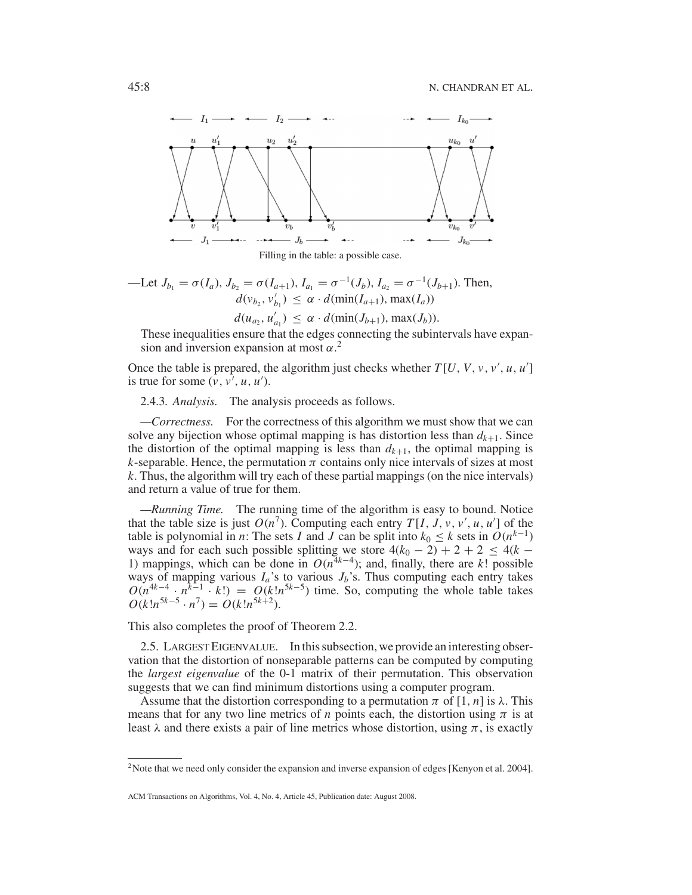



\n
$$
\text{Let } J_{b_1} = \sigma(I_a), J_{b_2} = \sigma(I_{a+1}), I_{a_1} = \sigma^{-1}(J_b), I_{a_2} = \sigma^{-1}(J_{b+1}).
$$
\n Then,\n  $d(v_{b_2}, v'_{b_1}) \leq \alpha \cdot d(\text{min}(I_{a+1}), \text{max}(I_a))$ \n

$$
d(u_{a_2}, u'_{a_1}) \leq \alpha \cdot d(\min(J_{b+1}), \max(J_b)).
$$

These inequalities ensure that the edges connecting the subintervals have expansion and inversion expansion at most  $\alpha$ <sup>2</sup>

Once the table is prepared, the algorithm just checks whether  $T[U, V, v, v', u, u']$ is true for some  $(v, v', u, u')$ .

2.4.3*. Analysis.* The analysis proceeds as follows.

*—Correctness.* For the correctness of this algorithm we must show that we can solve any bijection whose optimal mapping is has distortion less than  $d_{k+1}$ . Since the distortion of the optimal mapping is less than  $d_{k+1}$ , the optimal mapping is *k*-separable. Hence, the permutation  $\pi$  contains only nice intervals of sizes at most *k*. Thus, the algorithm will try each of these partial mappings (on the nice intervals) and return a value of true for them.

*—Running Time.* The running time of the algorithm is easy to bound. Notice that the table size is just  $O(n^7)$ . Computing each entry  $T[I, J, v, v', u, u']$  of the table is polynomial in *n*: The sets *I* and *J* can be split into  $k_0 \leq k$  sets in  $O(n^{k-1})$ ways and for each such possible splitting we store  $4(k_0 - 2) + 2 + 2 \le 4(k - 1)$ 1) mappings, which can be done in  $O(n^{4k-4})$ ; and, finally, there are *k*! possible ways of mapping various  $I_a$ 's to various  $J_b$ 's. Thus computing each entry takes  $O(n^{4k-4} \cdot n^{k-1} \cdot k!) = O(k!n^{5k-5})$  time. So, computing the whole table takes  $O(k!n^{5k-5} \cdot n^7) = O(k!n^{5k+2}).$ 

This also completes the proof of Theorem 2.2.

2.5. LARGEST EIGENVALUE. In this subsection, we provide an interesting observation that the distortion of nonseparable patterns can be computed by computing the *largest eigenvalue* of the 0-1 matrix of their permutation. This observation suggests that we can find minimum distortions using a computer program.

Assume that the distortion corresponding to a permutation  $\pi$  of [1, *n*] is  $\lambda$ . This means that for any two line metrics of *n* points each, the distortion using  $\pi$  is at least  $\lambda$  and there exists a pair of line metrics whose distortion, using  $\pi$ , is exactly

<sup>&</sup>lt;sup>2</sup>Note that we need only consider the expansion and inverse expansion of edges [Kenyon et al. 2004].

ACM Transactions on Algorithms, Vol. 4, No. 4, Article 45, Publication date: August 2008.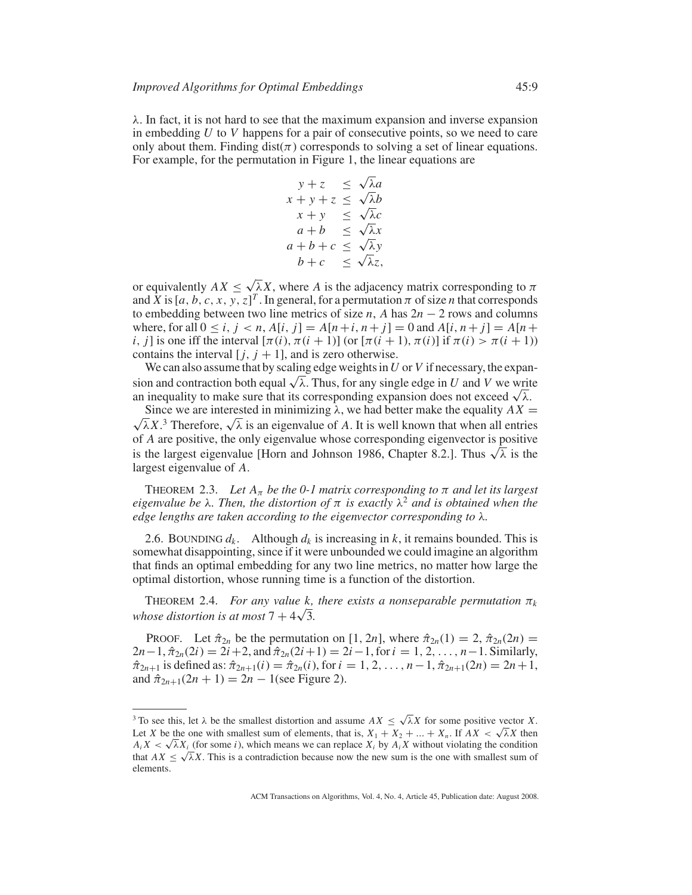$\lambda$ . In fact, it is not hard to see that the maximum expansion and inverse expansion in embedding *U* to *V* happens for a pair of consecutive points, so we need to care only about them. Finding  $dist(\pi)$  corresponds to solving a set of linear equations. For example, for the permutation in Figure 1, the linear equations are

$$
y + z \leq \sqrt{\lambda}a
$$
  
\n
$$
x + y + z \leq \sqrt{\lambda}b
$$
  
\n
$$
x + y \leq \sqrt{\lambda}c
$$
  
\n
$$
a + b \leq \sqrt{\lambda}x
$$
  
\n
$$
a + b + c \leq \sqrt{\lambda}y
$$
  
\n
$$
b + c \leq \sqrt{\lambda}z
$$

or equivalently  $AX \leq \sqrt{\lambda}X$ , where *A* is the adjacency matrix corresponding to  $\pi$ and  $\bar{X}$  is [a, b, c, x, y, z]<sup>T</sup>. In general, for a permutation  $\pi$  of size *n* that corresponds to embedding between two line metrics of size *n*, *A* has  $2n - 2$  rows and columns where, for all  $0 \le i, j < n, A[i, j] = A[n+i, n+j] = 0$  and  $A[i, n+j] = A[n+i]$ *i*, *j*] is one iff the interval  $[\pi(i), \pi(i+1)]$  (or  $[\pi(i+1), \pi(i)]$  if  $\pi(i) > \pi(i+1)$ ) contains the interval  $[j, j + 1]$ , and is zero otherwise.

We can also assume that by scaling edge weights in*U* or *V* if necessary, the expansion and contraction both equal  $\sqrt{\lambda}$ . Thus, for any single edge in *U* and *V* we write an inequality to make sure that its corresponding expansion does not exceed  $\sqrt{\lambda}$ .

√ Since we are interested in minimizing  $\lambda$ , we had better make the equality  $AX =$ Since we are interested in minimizing  $\lambda$ , we had better make the equality  $AX = \overline{\lambda}X$ .<sup>3</sup> Therefore,  $\sqrt{\lambda}$  is an eigenvalue of *A*. It is well known that when all entries of *A* are positive, the only eigenvalue whose corresponding eigenvector is positive is the largest eigenvalue [Horn and Johnson 1986, Chapter 8.2.]. Thus  $\sqrt{\lambda}$  is the largest eigenvalue of *A*.

THEOREM 2.3. *Let*  $A_{\pi}$  *be the 0-1 matrix corresponding to*  $\pi$  *and let its largest eigenvalue be*  $\lambda$ *. Then, the distortion of*  $\pi$  *is exactly*  $\lambda^2$  *and is obtained when the edge lengths are taken according to the eigenvector corresponding to* λ*.*

2.6. BOUNDING  $d_k$ . Although  $d_k$  is increasing in  $k$ , it remains bounded. This is somewhat disappointing, since if it were unbounded we could imagine an algorithm that finds an optimal embedding for any two line metrics, no matter how large the optimal distortion, whose running time is a function of the distortion.

THEOREM 2.4. *For any value k, there exists a nonseparable permutation*  $\pi_k$ *whose distortion is at most*  $7 + 4\sqrt{3}$ .

PROOF. Let  $\hat{\pi}_{2n}$  be the permutation on [1, 2*n*], where  $\hat{\pi}_{2n}(1) = 2$ ,  $\hat{\pi}_{2n}(2n) =$  $2n-1$ ,  $\hat{\pi}_{2n}(2i) = 2i+2$ , and  $\hat{\pi}_{2n}(2i+1) = 2i-1$ , for  $i = 1, 2, ..., n-1$ . Similarly,  $\hat{\pi}_{2n+1}$  is defined as:  $\hat{\pi}_{2n+1}(i) = \hat{\pi}_{2n}(i)$ , for  $i = 1, 2, ..., n-1$ ,  $\hat{\pi}_{2n+1}(2n) = 2n+1$ , and  $\hat{\pi}_{2n+1}(2n+1) = 2n - 1$  (see Figure 2).

<sup>&</sup>lt;sup>3</sup> To see this, let  $\lambda$  be the smallest distortion and assume  $AX \leq \sqrt{\lambda}X$  for some positive vector *X*. Let *X* be the one with smallest sum of elements, that is,  $X_1 + X_2 + ... + X_n$ . If  $AX < \sqrt{\lambda}X$  then  $A_i X < \sqrt{\lambda} X_i$  (for some *i*), which means we can replace  $X_i$  by  $A_i X$  without violating the condition that  $AX \leq \sqrt{\lambda}X$ . This is a contradiction because now the new sum is the one with smallest sum of elements.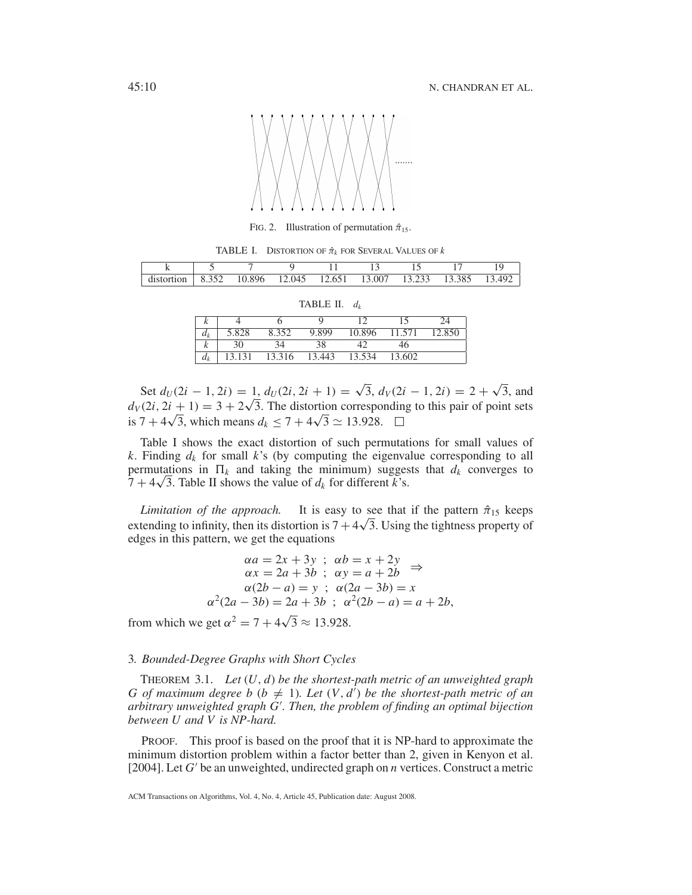

FIG. 2. Illustration of permutation  $\hat{\pi}_{15}$ .

TABLE I. DISTORTION OF  $\hat{\pi}_k$  FOR SEVERAL VALUES OF  $k$ 

| distortion | 8.352 | 10.896 | 12.045 | 12.651 | 13.007 | 13.233 13.385 |  |
|------------|-------|--------|--------|--------|--------|---------------|--|

| TABLE II. | $\mu$ |
|-----------|-------|
|-----------|-------|

| r     |        |        |        |        |        |        |
|-------|--------|--------|--------|--------|--------|--------|
| $a_k$ | 5.828  | 8.352  | 9.899  | 10.896 | 11.571 | 12.850 |
| r     |        |        |        |        |        |        |
| $d_k$ | 13.131 | 13.316 | 13.443 | 13.534 | 13.602 |        |

Set  $d_U(2i - 1, 2i) = 1$ ,  $d_U(2i, 2i + 1) = \sqrt{3}$ ,  $d_V(2i - 1, 2i) = 2 + \sqrt{3}$ , and Set  $d_U$ (2*i* – 1, 2*i*) = 1,  $d_U$ (2*i*, 2*i* + 1) =  $\sqrt{3}$ ,  $d_V$ (2*i* – 1, 2*i*) = 2 +  $\sqrt{3}$ , and  $d_V$ (2*i*, 2*i* + 1) = 3 + 2 $\sqrt{3}$ . The distortion corresponding to this pair of point sets  $a_V(2i, 2i + 1) = 3 + 2\sqrt{3}$ . The distortion correspote<br>is  $7 + 4\sqrt{3}$ , which means  $d_k \le 7 + 4\sqrt{3} \approx 13.928$ .

Table I shows the exact distortion of such permutations for small values of *k*. Finding  $d_k$  for small  $k$ 's (by computing the eigenvalue corresponding to all permutations in  $\Pi_k$  and taking the minimum) suggests that  $d_k$  converges to permutations in  $\Pi_k$  and taking the minimum) sugges  $7 + 4\sqrt{3}$ . Table II shows the value of  $d_k$  for different k's.

*Limitation of the approach.* It is easy to see that if the pattern  $\hat{\pi}_{15}$  keeps *Limitation of the approacn*. It is easy to see that if the pattern  $\pi_{15}$  keeps extending to infinity, then its distortion is  $7 + 4\sqrt{3}$ . Using the tightness property of edges in this pattern, we get the equations

$$
\alpha a = 2x + 3y \; ; \; \alpha b = x + 2y
$$
  
\n
$$
\alpha x = 2a + 3b \; ; \; \alpha y = a + 2b \Rightarrow
$$
  
\n
$$
\alpha (2b - a) = y \; ; \; \alpha (2a - 3b) = x
$$
  
\n
$$
\alpha^2 (2a - 3b) = 2a + 3b \; ; \; \alpha^2 (2b - a) = a + 2b,
$$

from which we get  $\alpha^2 = 7 + 4\sqrt{3} \approx 13.928$ .

## 3*. Bounded-Degree Graphs with Short Cycles*

THEOREM 3.1. *Let* (*U*, *d*) *be the shortest-path metric of an unweighted graph G* of maximum degree *b* ( $b \neq 1$ ). Let  $(V, d)$  be the shortest-path metric of an *arbitrary unweighted graph G . Then, the problem of finding an optimal bijection between U and V is NP-hard.*

PROOF. This proof is based on the proof that it is NP-hard to approximate the minimum distortion problem within a factor better than 2, given in Kenyon et al. [2004]. Let  $G'$  be an unweighted, undirected graph on  $n$  vertices. Construct a metric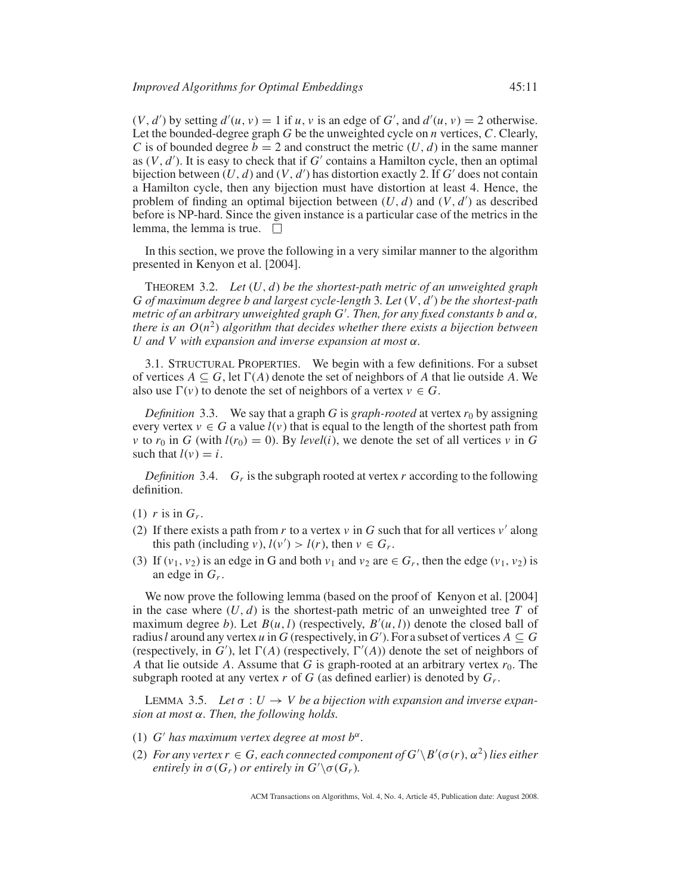$(V, d')$  by setting  $d'(u, v) = 1$  if  $u, v$  is an edge of  $G'$ , and  $d'(u, v) = 2$  otherwise. Let the bounded-degree graph *G* be the unweighted cycle on *n* vertices, *C*. Clearly, *C* is of bounded degree  $b = 2$  and construct the metric  $(U, d)$  in the same manner as  $(V, d')$ . It is easy to check that if  $G'$  contains a Hamilton cycle, then an optimal bijection between  $(U, d)$  and  $(V, d')$  has distortion exactly 2. If  $G'$  does not contain a Hamilton cycle, then any bijection must have distortion at least 4. Hence, the problem of finding an optimal bijection between  $(U, d)$  and  $(V, d')$  as described before is NP-hard. Since the given instance is a particular case of the metrics in the lemma, the lemma is true.  $\square$ 

In this section, we prove the following in a very similar manner to the algorithm presented in Kenyon et al. [2004].

THEOREM 3.2. *Let* (*U*, *d*) *be the shortest-path metric of an unweighted graph G of maximum degree b and largest cycle-length* 3*. Let* (*V*, *d* ) *be the shortest-path metric of an arbitrary unweighted graph G . Then, for any fixed constants b and* α*, there is an*  $O(n^2)$  *algorithm that decides whether there exists a bijection between U and V with expansion and inverse expansion at most* α*.*

3.1. STRUCTURAL PROPERTIES. We begin with a few definitions. For a subset of vertices  $A \subseteq G$ , let  $\Gamma(A)$  denote the set of neighbors of A that lie outside A. We also use  $\Gamma(v)$  to denote the set of neighbors of a vertex  $v \in G$ .

*Definition* 3.3. We say that a graph *G* is *graph-rooted* at vertex  $r_0$  by assigning every vertex  $v \in G$  a value  $l(v)$  that is equal to the length of the shortest path from *v* to  $r_0$  in *G* (with  $l(r_0) = 0$ ). By *level*(*i*), we denote the set of all vertices *v* in *G* such that  $l(v) = i$ .

*Definition* 3.4.  $G_r$  is the subgraph rooted at vertex r according to the following definition.

- (1)  $r$  is in  $G_r$ .
- (2) If there exists a path from *r* to a vertex  $\nu$  in *G* such that for all vertices  $\nu'$  along this path (including *v*),  $l(v') > l(r)$ , then  $v \in G_r$ .
- (3) If  $(v_1, v_2)$  is an edge in G and both  $v_1$  and  $v_2$  are  $\in G_r$ , then the edge  $(v_1, v_2)$  is an edge in *Gr*.

We now prove the following lemma (based on the proof of Kenyon et al. [2004] in the case where  $(U, d)$  is the shortest-path metric of an unweighted tree T of maximum degree *b*). Let  $B(u, l)$  (respectively,  $B'(u, l)$ ) denote the closed ball of radius *l* around any vertex *u* in *G* (respectively, in *G*'). For a subset of vertices  $A \subseteq G$ (respectively, in  $G'$ ), let  $\Gamma(A)$  (respectively,  $\Gamma'(A)$ ) denote the set of neighbors of *A* that lie outside *A*. Assume that *G* is graph-rooted at an arbitrary vertex  $r_0$ . The subgraph rooted at any vertex  $r$  of  $G$  (as defined earlier) is denoted by  $G_r$ .

LEMMA 3.5. Let  $\sigma: U \to V$  be a bijection with expansion and inverse expan*sion at most* α*. Then, the following holds.*

- (1) *G'* has maximum vertex degree at most  $b^{\alpha}$ .
- (2) *For any vertex*  $r \in G$ *, each connected component of*  $G' \Bbb \setminus B'(\sigma(r), \alpha^2)$  *lies either entirely in*  $\sigma(G_r)$  *or entirely in*  $G' \setminus \sigma(G_r)$ *.*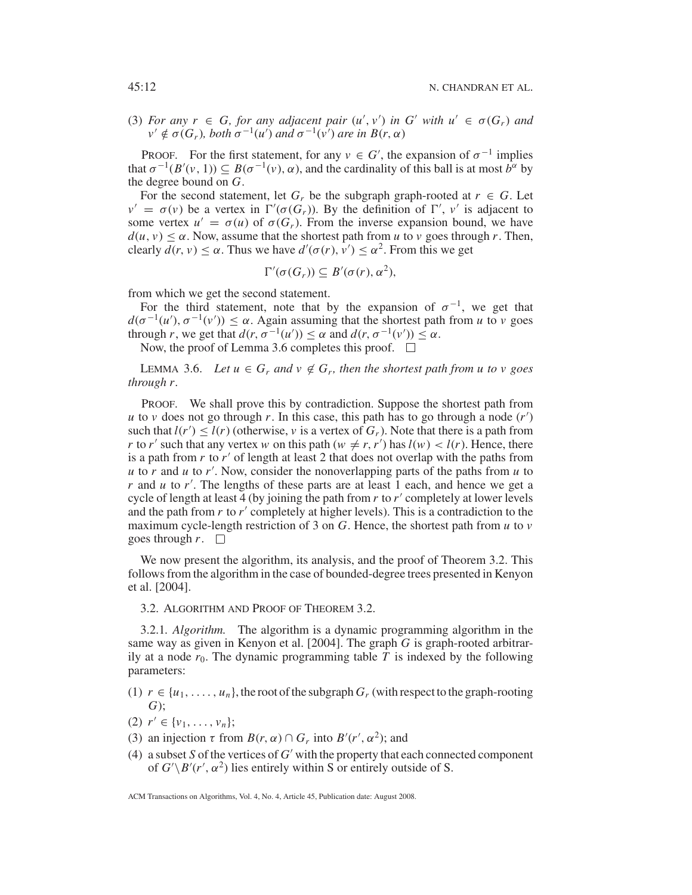(3) *For any*  $r \in G$ , *for any adjacent pair*  $(u', v')$  *in*  $G'$  *with*  $u' \in \sigma(G_r)$  *and*  $v' \notin \sigma(G_r)$ , both  $\sigma^{-1}(u')$  and  $\sigma^{-1}(v')$  are in  $B(r, \alpha)$ 

PROOF. For the first statement, for any  $v \in G'$ , the expansion of  $\sigma^{-1}$  implies that  $\sigma^{-1}(B'(v, 1)) \subseteq B(\sigma^{-1}(v), \alpha)$ , and the cardinality of this ball is at most  $\hat{b}^{\alpha}$  by the degree bound on *G*.

For the second statement, let  $G_r$  be the subgraph graph-rooted at  $r \in G$ . Let  $v' = \sigma(v)$  be a vertex in  $\Gamma'(\sigma(G_r))$ . By the definition of  $\Gamma'$ , *v'* is adjacent to some vertex  $u' = \sigma(u)$  of  $\sigma(G_r)$ . From the inverse expansion bound, we have  $d(u, v) \le \alpha$ . Now, assume that the shortest path from *u* to *v* goes through *r*. Then, clearly  $d(r, v) \le \alpha$ . Thus we have  $d'(\sigma(r), v') \le \alpha^2$ . From this we get

$$
\Gamma'(\sigma(G_r))\subseteq B'(\sigma(r),\alpha^2),
$$

from which we get the second statement.

For the third statement, note that by the expansion of  $\sigma^{-1}$ , we get that  $d(\sigma^{-1}(u'), \sigma^{-1}(v')) \leq \alpha$ . Again assuming that the shortest path from *u* to *v* goes through *r*, we get that  $d(r, \sigma^{-1}(u')) \leq \alpha$  and  $d(r, \sigma^{-1}(v')) \leq \alpha$ .

Now, the proof of Lemma 3.6 completes this proof.  $\Box$ 

LEMMA 3.6. *Let*  $u \in G_r$  *and*  $v \notin G_r$ , *then the shortest path from u to v goes through r.*

PROOF. We shall prove this by contradiction. Suppose the shortest path from *u* to *v* does not go through *r*. In this case, this path has to go through a node  $(r')$ such that  $l(r') \leq l(r)$  (otherwise, *v* is a vertex of  $G_r$ ). Note that there is a path from *r* to *r'* such that any vertex *w* on this path ( $w \neq r, r'$ ) has  $l(w) < l(r)$ . Hence, there is a path from  $r$  to  $r'$  of length at least 2 that does not overlap with the paths from  $u$  to  $r$  and  $u$  to  $r'$ . Now, consider the nonoverlapping parts of the paths from  $u$  to *r* and *u* to *r'*. The lengths of these parts are at least 1 each, and hence we get a cycle of length at least 4 (by joining the path from *r* to *r'* completely at lower levels and the path from *r* to *r'* completely at higher levels). This is a contradiction to the maximum cycle-length restriction of 3 on *G*. Hence, the shortest path from *u* to *v* goes through  $r$ .  $\Box$ 

We now present the algorithm, its analysis, and the proof of Theorem 3.2. This follows from the algorithm in the case of bounded-degree trees presented in Kenyon et al. [2004].

3.2. ALGORITHM AND PROOF OF THEOREM 3.2.

3.2.1*. Algorithm.* The algorithm is a dynamic programming algorithm in the same way as given in Kenyon et al. [2004]. The graph *G* is graph-rooted arbitrarily at a node  $r_0$ . The dynamic programming table  $T$  is indexed by the following parameters:

- (1)  $r \in \{u_1, \ldots, u_n\}$ , the root of the subgraph  $G_r$  (with respect to the graph-rooting *G*);
- (2)  $r' \in \{v_1, \ldots, v_n\};$
- (3) an injection  $\tau$  from  $B(r, \alpha) \cap G_r$  into  $B'(r', \alpha^2)$ ; and
- (4) a subset *S* of the vertices of  $G'$  with the property that each connected component of  $G' \backslash B'(r', \alpha^2)$  lies entirely within S or entirely outside of S.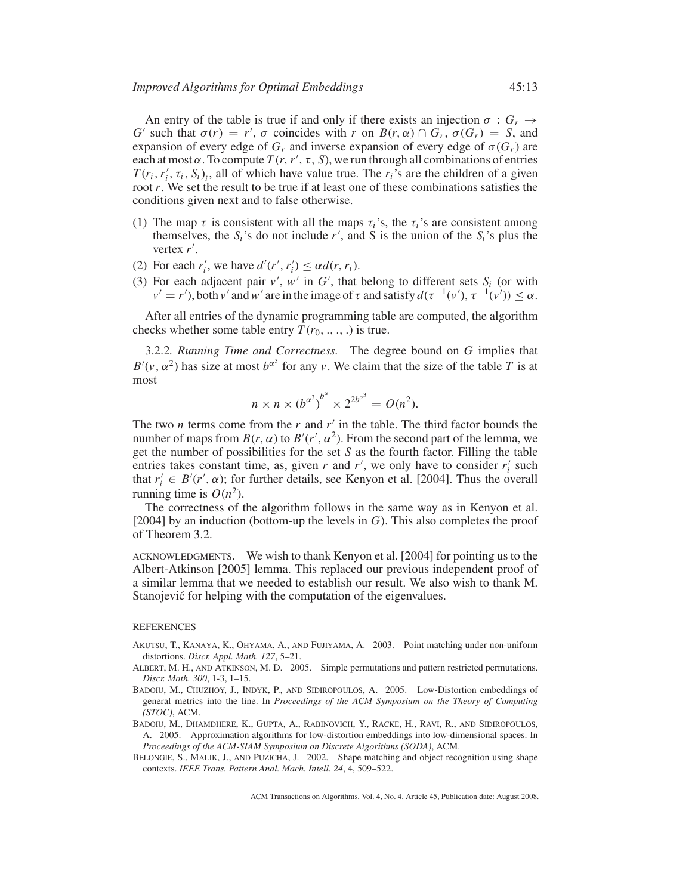An entry of the table is true if and only if there exists an injection  $\sigma : G_r \to$ *G* such that  $\sigma(r) = r'$ ,  $\sigma$  coincides with *r* on  $B(r, \alpha) \cap G_r$ ,  $\sigma(G_r) = S$ , and expansion of every edge of  $G_r$  and inverse expansion of every edge of  $\sigma(G_r)$  are each at most  $\alpha$ . To compute  $T(r, r', \tau, S)$ , we run through all combinations of entries  $T(r_i, r'_i, \tau_i, S_i)_i$ , all of which have value true. The  $r_i$ 's are the children of a given root *r*. We set the result to be true if at least one of these combinations satisfies the conditions given next and to false otherwise.

- (1) The map  $\tau$  is consistent with all the maps  $\tau_i$ 's, the  $\tau_i$ 's are consistent among themselves, the  $S_i$ 's do not include  $r'$ , and S is the union of the  $S_i$ 's plus the vertex *r* .
- (2) For each  $r'_i$ , we have  $d'(r', r'_i) \leq \alpha d(r, r_i)$ .
- (3) For each adjacent pair  $v'$ ,  $w'$  in  $G'$ , that belong to different sets  $S_i$  (or with  $v' = r'$ ), both *v'* and *w'* are in the image of  $\tau$  and satisfy  $d(\tau^{-1}(v'), \tau^{-1}(v')) \leq \alpha$ .

After all entries of the dynamic programming table are computed, the algorithm checks whether some table entry  $T(r_0, \ldots, \ldots)$  is true.

3.2.2*. Running Time and Correctness.* The degree bound on *G* implies that  $B'(v, \alpha^2)$  has size at most  $b^{\alpha^3}$  for any *v*. We claim that the size of the table *T* is at most

$$
n \times n \times (b^{\alpha^3})^{b^{\alpha}} \times 2^{2b^{\alpha^3}} = O(n^2).
$$

The two *n* terms come from the *r* and *r* in the table. The third factor bounds the number of maps from  $B(r, \alpha)$  to  $B'(r', \alpha^2)$ . From the second part of the lemma, we get the number of possibilities for the set *S* as the fourth factor. Filling the table entries takes constant time, as, given  $r$  and  $r'$ , we only have to consider  $r'_i$  such that  $r'_i \in B'(r', \alpha)$ ; for further details, see Kenyon et al. [2004]. Thus the overall running time is  $O(n^2)$ .

The correctness of the algorithm follows in the same way as in Kenyon et al. [2004] by an induction (bottom-up the levels in *G*). This also completes the proof of Theorem 3.2.

ACKNOWLEDGMENTS. We wish to thank Kenyon et al. [2004] for pointing us to the Albert-Atkinson [2005] lemma. This replaced our previous independent proof of a similar lemma that we needed to establish our result. We also wish to thank M. Stanojević for helping with the computation of the eigenvalues.

#### **REFERENCES**

- AKUTSU, T., KANAYA, K., OHYAMA, A., AND FUJIYAMA, A. 2003. Point matching under non-uniform distortions. *Discr. Appl. Math. 127*, 5–21.
- ALBERT, M. H., AND ATKINSON, M. D. 2005. Simple permutations and pattern restricted permutations. *Discr. Math. 300*, 1-3, 1–15.
- BADOIU, M., CHUZHOY, J., INDYK, P., AND SIDIROPOULOS, A. 2005. Low-Distortion embeddings of general metrics into the line. In *Proceedings of the ACM Symposium on the Theory of Computing (STOC)*, ACM.
- BADOIU, M., DHAMDHERE, K., GUPTA, A., RABINOVICH, Y., RACKE, H., RAVI, R., AND SIDIROPOULOS, A. 2005. Approximation algorithms for low-distortion embeddings into low-dimensional spaces. In *Proceedings of the ACM-SIAM Symposium on Discrete Algorithms (SODA)*, ACM.
- BELONGIE, S., MALIK, J., AND PUZICHA, J. 2002. Shape matching and object recognition using shape contexts. *IEEE Trans. Pattern Anal. Mach. Intell. 24*, 4, 509–522.